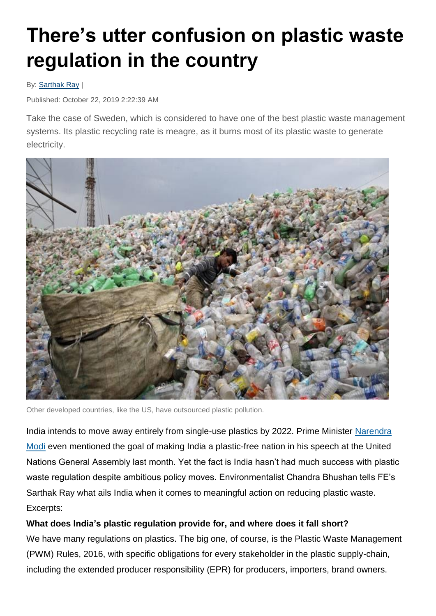# **There's utter confusion on plastic waste regulation in the country**

#### By: [Sarthak Ray](https://www.financialexpress.com/author/sarthak-ray/) |

Published: October 22, 2019 2:22:39 AM

Take the case of Sweden, which is considered to have one of the best plastic waste management systems. Its plastic recycling rate is meagre, as it burns most of its plastic waste to generate electricity.



Other developed countries, like the US, have outsourced plastic pollution.

India intends to move away entirely from single-use plastics by 2022. Prime Minister [Narendra](http://www.financialexpress.com/tag/narendra-modi/)  [Modi](http://www.financialexpress.com/tag/narendra-modi/) even mentioned the goal of making India a plastic-free nation in his speech at the United Nations General Assembly last month. Yet the fact is India hasn't had much success with plastic waste regulation despite ambitious policy moves. Environmentalist Chandra Bhushan tells FE's Sarthak Ray what ails India when it comes to meaningful action on reducing plastic waste. Excerpts:

### **What does India's plastic regulation provide for, and where does it fall short?**

We have many regulations on plastics. The big one, of course, is the Plastic Waste Management (PWM) Rules, 2016, with specific obligations for every stakeholder in the plastic supply-chain, including the extended producer responsibility (EPR) for producers, importers, brand owners.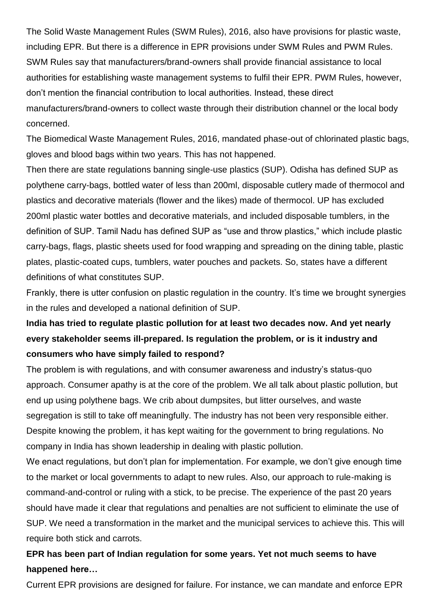The Solid Waste Management Rules (SWM Rules), 2016, also have provisions for plastic waste, including EPR. But there is a difference in EPR provisions under SWM Rules and PWM Rules. SWM Rules say that manufacturers/brand-owners shall provide financial assistance to local authorities for establishing waste management systems to fulfil their EPR. PWM Rules, however, don't mention the financial contribution to local authorities. Instead, these direct manufacturers/brand-owners to collect waste through their distribution channel or the local body concerned.

The Biomedical Waste Management Rules, 2016, mandated phase-out of chlorinated plastic bags, gloves and blood bags within two years. This has not happened.

Then there are state regulations banning single-use plastics (SUP). Odisha has defined SUP as polythene carry-bags, bottled water of less than 200ml, disposable cutlery made of thermocol and plastics and decorative materials (flower and the likes) made of thermocol. UP has excluded 200ml plastic water bottles and decorative materials, and included disposable tumblers, in the definition of SUP. Tamil Nadu has defined SUP as "use and throw plastics," which include plastic carry-bags, flags, plastic sheets used for food wrapping and spreading on the dining table, plastic plates, plastic-coated cups, tumblers, water pouches and packets. So, states have a different definitions of what constitutes SUP.

Frankly, there is utter confusion on plastic regulation in the country. It's time we brought synergies in the rules and developed a national definition of SUP.

## **India has tried to regulate plastic pollution for at least two decades now. And yet nearly every stakeholder seems ill-prepared. Is regulation the problem, or is it industry and consumers who have simply failed to respond?**

The problem is with regulations, and with consumer awareness and industry's status-quo approach. Consumer apathy is at the core of the problem. We all talk about plastic pollution, but end up using polythene bags. We crib about dumpsites, but litter ourselves, and waste segregation is still to take off meaningfully. The industry has not been very responsible either. Despite knowing the problem, it has kept waiting for the government to bring regulations. No company in India has shown leadership in dealing with plastic pollution.

We enact regulations, but don't plan for implementation. For example, we don't give enough time to the market or local governments to adapt to new rules. Also, our approach to rule-making is command-and-control or ruling with a stick, to be precise. The experience of the past 20 years should have made it clear that regulations and penalties are not sufficient to eliminate the use of SUP. We need a transformation in the market and the municipal services to achieve this. This will require both stick and carrots.

## **EPR has been part of Indian regulation for some years. Yet not much seems to have happened here…**

Current EPR provisions are designed for failure. For instance, we can mandate and enforce EPR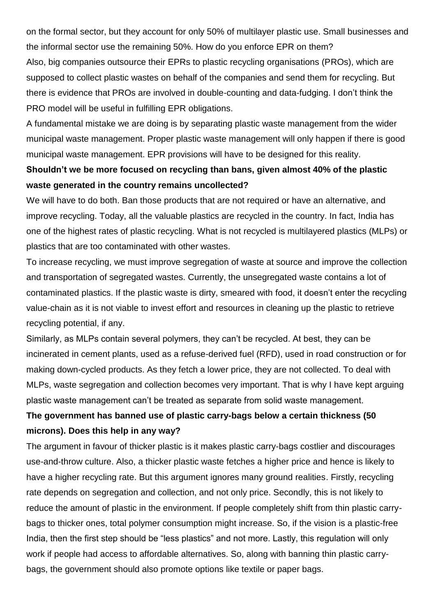on the formal sector, but they account for only 50% of multilayer plastic use. Small businesses and the informal sector use the remaining 50%. How do you enforce EPR on them?

Also, big companies outsource their EPRs to plastic recycling organisations (PROs), which are supposed to collect plastic wastes on behalf of the companies and send them for recycling. But there is evidence that PROs are involved in double-counting and data-fudging. I don't think the PRO model will be useful in fulfilling EPR obligations.

A fundamental mistake we are doing is by separating plastic waste management from the wider municipal waste management. Proper plastic waste management will only happen if there is good municipal waste management. EPR provisions will have to be designed for this reality.

## **Shouldn't we be more focused on recycling than bans, given almost 40% of the plastic waste generated in the country remains uncollected?**

We will have to do both. Ban those products that are not required or have an alternative, and improve recycling. Today, all the valuable plastics are recycled in the country. In fact, India has one of the highest rates of plastic recycling. What is not recycled is multilayered plastics (MLPs) or plastics that are too contaminated with other wastes.

To increase recycling, we must improve segregation of waste at source and improve the collection and transportation of segregated wastes. Currently, the unsegregated waste contains a lot of contaminated plastics. If the plastic waste is dirty, smeared with food, it doesn't enter the recycling value-chain as it is not viable to invest effort and resources in cleaning up the plastic to retrieve recycling potential, if any.

Similarly, as MLPs contain several polymers, they can't be recycled. At best, they can be incinerated in cement plants, used as a refuse-derived fuel (RFD), used in road construction or for making down-cycled products. As they fetch a lower price, they are not collected. To deal with MLPs, waste segregation and collection becomes very important. That is why I have kept arguing plastic waste management can't be treated as separate from solid waste management.

## **The government has banned use of plastic carry-bags below a certain thickness (50 microns). Does this help in any way?**

The argument in favour of thicker plastic is it makes plastic carry-bags costlier and discourages use-and-throw culture. Also, a thicker plastic waste fetches a higher price and hence is likely to have a higher recycling rate. But this argument ignores many ground realities. Firstly, recycling rate depends on segregation and collection, and not only price. Secondly, this is not likely to reduce the amount of plastic in the environment. If people completely shift from thin plastic carrybags to thicker ones, total polymer consumption might increase. So, if the vision is a plastic-free India, then the first step should be "less plastics" and not more. Lastly, this regulation will only work if people had access to affordable alternatives. So, along with banning thin plastic carrybags, the government should also promote options like textile or paper bags.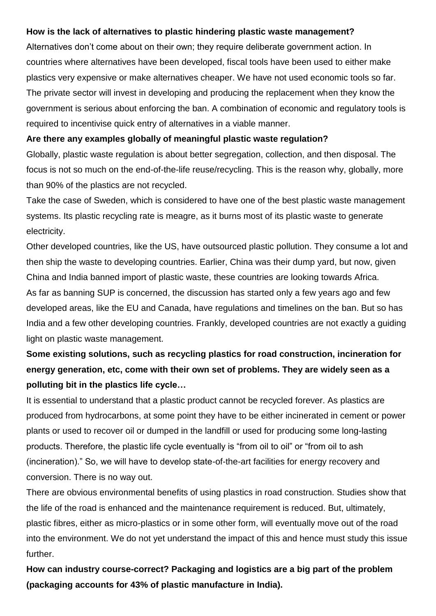#### **How is the lack of alternatives to plastic hindering plastic waste management?**

Alternatives don't come about on their own; they require deliberate government action. In countries where alternatives have been developed, fiscal tools have been used to either make plastics very expensive or make alternatives cheaper. We have not used economic tools so far. The private sector will invest in developing and producing the replacement when they know the government is serious about enforcing the ban. A combination of economic and regulatory tools is required to incentivise quick entry of alternatives in a viable manner.

#### **Are there any examples globally of meaningful plastic waste regulation?**

Globally, plastic waste regulation is about better segregation, collection, and then disposal. The focus is not so much on the end-of-the-life reuse/recycling. This is the reason why, globally, more than 90% of the plastics are not recycled.

Take the case of Sweden, which is considered to have one of the best plastic waste management systems. Its plastic recycling rate is meagre, as it burns most of its plastic waste to generate electricity.

Other developed countries, like the US, have outsourced plastic pollution. They consume a lot and then ship the waste to developing countries. Earlier, China was their dump yard, but now, given China and India banned import of plastic waste, these countries are looking towards Africa. As far as banning SUP is concerned, the discussion has started only a few years ago and few developed areas, like the EU and Canada, have regulations and timelines on the ban. But so has India and a few other developing countries. Frankly, developed countries are not exactly a guiding light on plastic waste management.

# **Some existing solutions, such as recycling plastics for road construction, incineration for energy generation, etc, come with their own set of problems. They are widely seen as a polluting bit in the plastics life cycle…**

It is essential to understand that a plastic product cannot be recycled forever. As plastics are produced from hydrocarbons, at some point they have to be either incinerated in cement or power plants or used to recover oil or dumped in the landfill or used for producing some long-lasting products. Therefore, the plastic life cycle eventually is "from oil to oil" or "from oil to ash (incineration)." So, we will have to develop state-of-the-art facilities for energy recovery and conversion. There is no way out.

There are obvious environmental benefits of using plastics in road construction. Studies show that the life of the road is enhanced and the maintenance requirement is reduced. But, ultimately, plastic fibres, either as micro-plastics or in some other form, will eventually move out of the road into the environment. We do not yet understand the impact of this and hence must study this issue further.

**How can industry course-correct? Packaging and logistics are a big part of the problem (packaging accounts for 43% of plastic manufacture in India).**